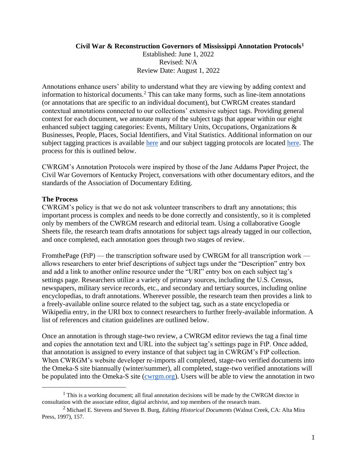#### **Civil War & Reconstruction Governors of Mississippi Annotation Protocols<sup>1</sup>**

Established: June 1, 2022 Revised: N/A Review Date: August 1, 2022

Annotations enhance users' ability to understand what they are viewing by adding context and information to historical documents.<sup>2</sup> This can take many forms, such as line-item annotations (or annotations that are specific to an individual document), but CWRGM creates standard contextual annotations connected to our collections' extensive subject tags. Providing general context for each document, we annotate many of the subject tags that appear within our eight enhanced subject tagging categories: Events, Military Units, Occupations, Organizations & Businesses, People, Places, Social Identifiers, and Vital Statistics. Additional information on our subject tagging practices is available [here](https://cwrgm.org/page/explore-collection) and our subject tagging protocols are located [here.](https://cwrgm.org/page/editorial-process) The process for this is outlined below.

CWRGM's Annotation Protocols were inspired by those of the Jane Addams Paper Project, the Civil War Governors of Kentucky Project, conversations with other documentary editors, and the standards of the Association of Documentary Editing.

#### **The Process**

CWRGM's policy is that we do not ask volunteer transcribers to draft any annotations; this important process is complex and needs to be done correctly and consistently, so it is completed only by members of the CWRGM research and editorial team. Using a collaborative Google Sheets file, the research team drafts annotations for subject tags already tagged in our collection, and once completed, each annotation goes through two stages of review.

FromthePage (FtP) — the transcription software used by CWRGM for all transcription work allows researchers to enter brief descriptions of subject tags under the "Description" entry box and add a link to another online resource under the "URI" entry box on each subject tag's settings page. Researchers utilize a variety of primary sources, including the U.S. Census, newspapers, military service records, etc., and secondary and tertiary sources, including online encyclopedias, to draft annotations. Wherever possible, the research team then provides a link to a freely-available online source related to the subject tag, such as a state encyclopedia or Wikipedia entry, in the URI box to connect researchers to further freely-available information. A list of references and citation guidelines are outlined below.

Once an annotation is through stage-two review, a CWRGM editor reviews the tag a final time and copies the annotation text and URL into the subject tag's settings page in FtP. Once added, that annotation is assigned to every instance of that subject tag in CWRGM's FtP collection. When CWRGM's website developer re-imports all completed, stage-two verified documents into the Omeka-S site biannually (winter/summer), all completed, stage-two verified annotations will be populated into the Omeka-S site [\(cwrgm.org\)](https://cwrgm.org/). Users will be able to view the annotation in two

 $<sup>1</sup>$  This is a working document; all final annotation decisions will be made by the CWRGM director in</sup> consultation with the associate editor, digital archivist, and top members of the research team.

<sup>2</sup> Michael E. Stevens and Steven B. Burg, *Editing Historical Documents* (Walnut Creek, CA: Alta Mira Press, 1997), 157.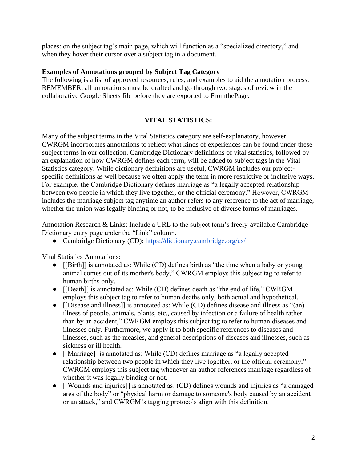places: on the subject tag's main page, which will function as a "specialized directory," and when they hover their cursor over a subject tag in a document.

### **Examples of Annotations grouped by Subject Tag Category**

The following is a list of approved resources, rules, and examples to aid the annotation process. REMEMBER: all annotations must be drafted and go through two stages of review in the collaborative Google Sheets file before they are exported to FromthePage.

# **VITAL STATISTICS:**

Many of the subject terms in the Vital Statistics category are self-explanatory, however CWRGM incorporates annotations to reflect what kinds of experiences can be found under these subject terms in our collection. Cambridge Dictionary definitions of vital statistics, followed by an explanation of how CWRGM defines each term, will be added to subject tags in the Vital Statistics category. While dictionary definitions are useful, CWRGM includes our projectspecific definitions as well because we often apply the term in more restrictive or inclusive ways. For example, the Cambridge Dictionary defines marriage as "a [legally](https://dictionary.cambridge.org/us/dictionary/english/legal) [accepted](https://dictionary.cambridge.org/us/dictionary/english/accepted) [relationship](https://dictionary.cambridge.org/us/dictionary/english/relationship) between two [people](https://dictionary.cambridge.org/us/dictionary/english/people) in which they [live](https://dictionary.cambridge.org/us/dictionary/english/live) together, or the [official](https://dictionary.cambridge.org/us/dictionary/english/official) [ceremony.](https://dictionary.cambridge.org/us/dictionary/english/ceremony)" However, CWRGM includes the marriage subject tag anytime an author refers to any reference to the act of marriage, whether the union was legally binding or not, to be inclusive of diverse forms of marriages.

Annotation Research & Links: Include a URL to the subject term's freely-available Cambridge Dictionary entry page under the "Link" column.

• Cambridge Dictionary (CD):<https://dictionary.cambridge.org/us/>

Vital Statistics Annotations:

- [[Birth]] is annotated as: While (CD) defines birth as "the time when a baby or [young](https://dictionary.cambridge.org/us/dictionary/english/young) animal comes out of [its](https://dictionary.cambridge.org/us/dictionary/english/its) mother's body," CWRGM employs this subject tag to refer to human births only.
- [[Death]] is annotated as: While (CD) defines death as "the end of life," CWRGM employs this subject tag to refer to human deaths only, both actual and hypothetical.
- [[Disease and illness]] is annotated as: While (CD) defines disease and illness as "(an) illness of people, animals, plants, etc., caused by infection or a failure of health rather than by an accident," CWRGM employs this subject tag to refer to human diseases and illnesses only. Furthermore, we apply it to both specific references to diseases and illnesses, such as the measles, and general descriptions of diseases and illnesses, such as sickness or ill health.
- [[Marriage]] is annotated as: While (CD) defines marriage as "a legally accepted relationship between two people in which they live together, or the official ceremony," CWRGM employs this subject tag whenever an author references marriage regardless of whether it was legally binding or not.
- [[Wounds and injuries]] is annotated as: (CD) defines wounds and injuries as "a damaged area of the body" or "physical harm or damage to someone's body caused by an accident or an attack," and CWRGM's tagging protocols align with this definition.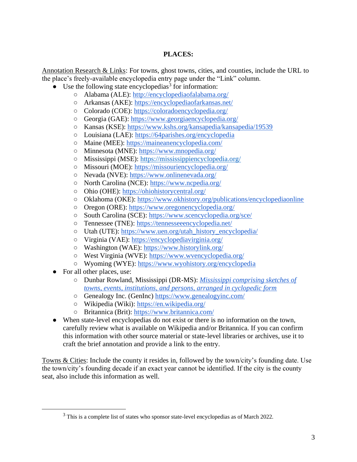### **PLACES:**

Annotation Research & Links: For towns, ghost towns, cities, and counties, include the URL to the place's freely-available encyclopedia entry page under the "Link" column.

- $\bullet$  Use the following state encyclopedias<sup>3</sup> for information:
	- Alabama (ALE):<http://encyclopediaofalabama.org/>
	- Arkansas (AKE):<https://encyclopediaofarkansas.net/>
	- Colorado (COE):<https://coloradoencyclopedia.org/>
	- Georgia (GAE):<https://www.georgiaencyclopedia.org/>
	- Kansas (KSE):<https://www.kshs.org/kansapedia/kansapedia/19539>
	- Louisiana (LAE):<https://64parishes.org/encyclopedia>
	- Maine (MEE):<https://maineanencyclopedia.com/>
	- Minnesota (MNE):<https://www.mnopedia.org/>
	- Mississippi (MSE):<https://mississippiencyclopedia.org/>
	- Missouri (MOE):<https://missouriencyclopedia.org/>
	- Nevada (NVE):<https://www.onlinenevada.org/>
	- North Carolina (NCE):<https://www.ncpedia.org/>
	- Ohio (OHE): [https://ohiohistorycentral.org/](https://ohiohistorycentral.org/w/Welcome_To_Ohio_History_Central)
	- Oklahoma (OKE):<https://www.okhistory.org/publications/encyclopediaonline>
	- Oregon (ORE):<https://www.oregonencyclopedia.org/>
	- South Carolina (SCE):<https://www.scencyclopedia.org/sce/>
	- Tennessee (TNE):<https://tennesseeencyclopedia.net/>
	- Utah (UTE): [https://www.uen.org/utah\\_history\\_encyclopedia/](https://www.uen.org/utah_history_encyclopedia/)
	- Virginia (VAE):<https://encyclopediavirginia.org/>
	- Washington (WAE):<https://www.historylink.org/>
	- West Virginia (WVE):<https://www.wvencyclopedia.org/>
	- Wyoming (WYE):<https://www.wyohistory.org/encyclopedia>
- For all other places, use:
	- Dunbar Rowland, Mississippi (DR-MS): *[Mississippi comprising sketches of](https://archive.org/details/mississippicomp01rowlgoog/page/258/mode/2up)  [towns, events, institutions, and persons, arranged in cyclopedic form](https://archive.org/details/mississippicomp01rowlgoog/page/258/mode/2up)*
	- Genealogy Inc. (GenInc)<https://www.genealogyinc.com/>
	- Wikipedia (Wiki):<https://en.wikipedia.org/>
	- Britannica (Brit):<https://www.britannica.com/>
- When state-level encyclopedias do not exist or there is no information on the town, carefully review what is available on Wikipedia and/or Britannica. If you can confirm this information with other source material or state-level libraries or archives, use it to craft the brief annotation and provide a link to the entry.

Towns & Cities: Include the county it resides in, followed by the town/city's founding date. Use the town/city's founding decade if an exact year cannot be identified. If the city is the county seat, also include this information as well.

<sup>&</sup>lt;sup>3</sup> This is a complete list of states who sponsor state-level encyclopedias as of March 2022.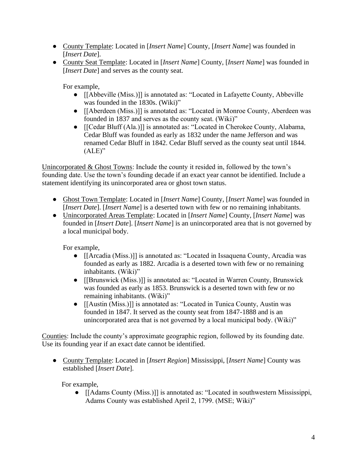- County Template: Located in [*Insert Name*] County, [*Insert Name*] was founded in [*Insert Date*].
- County Seat Template: Located in [*Insert Name*] County, [*Insert Name*] was founded in [*Insert Date*] and serves as the county seat.

For example,

- [[Abbeville (Miss.)]] is annotated as: "Located in Lafayette County, Abbeville was founded in the 1830s. (Wiki)"
- [[Aberdeen (Miss.)]] is annotated as: "Located in Monroe County, Aberdeen was founded in 1837 and serves as the county seat. (Wiki)"
- [[Cedar Bluff (Ala.)]] is annotated as: "Located in Cherokee County, Alabama, Cedar Bluff was founded as early as 1832 under the name Jefferson and was renamed Cedar Bluff in 1842. Cedar Bluff served as the county seat until 1844.  $(ALE)$ "

Unincorporated & Ghost Towns: Include the county it resided in, followed by the town's founding date. Use the town's founding decade if an exact year cannot be identified. Include a statement identifying its unincorporated area or ghost town status.

- Ghost Town Template: Located in [*Insert Name*] County, [*Insert Name*] was founded in [*Insert Date*]. [*Insert Name*] is a deserted town with few or no remaining inhabitants.
- Unincorporated Areas Template: Located in [*Insert Name*] County, [*Insert Name*] was founded in [*Insert Date*]. [*Insert Name*] is an unincorporated area that is not governed by a local municipal body.

For example,

- [[Arcadia (Miss.)]] is annotated as: "Located in Issaquena County, Arcadia was founded as early as 1882. Arcadia is a deserted town with few or no remaining inhabitants. (Wiki)"
- [[Brunswick (Miss.)]] is annotated as: "Located in Warren County, Brunswick was founded as early as 1853. Brunswick is a deserted town with few or no remaining inhabitants. (Wiki)"
- [[Austin (Miss.)]] is annotated as: "Located in Tunica County, Austin was founded in 1847. It served as the county seat from 1847-1888 and is an unincorporated area that is not governed by a local municipal body. (Wiki)"

Counties: Include the county's approximate geographic region, followed by its founding date. Use its founding year if an exact date cannot be identified.

● County Template: Located in [*Insert Region*] Mississippi, [*Insert Name*] County was established [*Insert Date*].

For example,

● [[Adams County (Miss.)]] is annotated as: "Located in southwestern Mississippi, Adams County was established April 2, 1799. (MSE; Wiki)"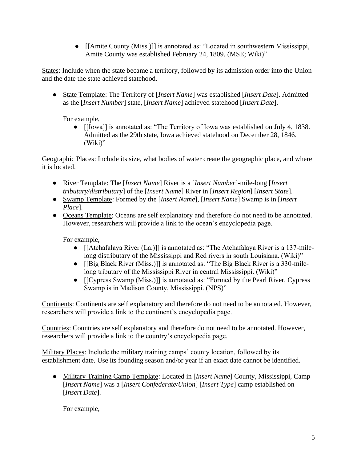● [[Amite County (Miss.)]] is annotated as: "Located in southwestern Mississippi, Amite County was established February 24, 1809. (MSE; Wiki)"

States: Include when the state became a territory, followed by its admission order into the Union and the date the state achieved statehood.

● State Template: The Territory of [*Insert Name*] was established [*Insert Date*]. Admitted as the [*Insert Number*] state, [*Insert Name*] achieved statehood [*Insert Date*].

For example,

● [[Iowa]] is annotated as: "The Territory of Iowa was established on July 4, 1838. Admitted as the 29th state, Iowa achieved statehood on December 28, 1846. (Wiki)"

Geographic Places: Include its size, what bodies of water create the geographic place, and where it is located.

- River Template: The [*Insert Name*] River is a [*Insert Number*]-mile-long [*Insert tributary/distributary*] of the [*Insert Name*] River in [*Insert Region*] [*Insert State*].
- Swamp Template: Formed by the [*Insert Name*], [*Insert Name*] Swamp is in [*Insert Place*].
- Oceans Template: Oceans are self explanatory and therefore do not need to be annotated. However, researchers will provide a link to the ocean's encyclopedia page.

For example,

- [[Atchafalaya River (La.)]] is annotated as: "The Atchafalaya River is a 137-milelong distributary of the Mississippi and Red rivers in south Louisiana. (Wiki)"
- [[Big Black River (Miss.)]] is annotated as: "The Big Black River is a 330-milelong tributary of the Mississippi River in central Mississippi. (Wiki)"
- [[Cypress Swamp (Miss.)]] is annotated as: "Formed by the Pearl River, Cypress Swamp is in Madison County, Mississippi. (NPS)"

Continents: Continents are self explanatory and therefore do not need to be annotated. However, researchers will provide a link to the continent's encyclopedia page.

Countries: Countries are self explanatory and therefore do not need to be annotated. However, researchers will provide a link to the country's encyclopedia page.

Military Places: Include the military training camps' county location, followed by its establishment date. Use its founding season and/or year if an exact date cannot be identified.

● Military Training Camp Template: Located in [*Insert Name*] County, Mississippi, Camp [*Insert Name*] was a [*Insert Confederate/Union*] [*Insert Type*] camp established on [*Insert Date*].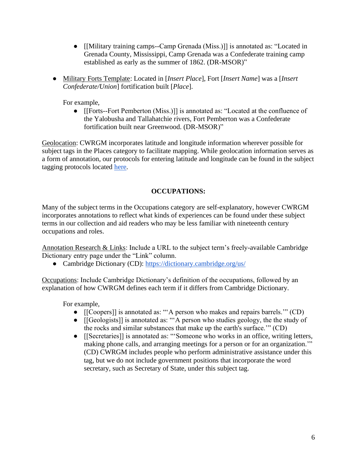- [[Military training camps--Camp Grenada (Miss.)]] is annotated as: "Located in Grenada County, Mississippi, Camp Grenada was a Confederate training camp established as early as the summer of 1862. (DR-MSOR)"
- Military Forts Template: Located in [*Insert Place*], Fort [*Insert Name*] was a [*Insert Confederate/Union*] fortification built [*Place*].

For example,

● [[Forts--Fort Pemberton (Miss.)]] is annotated as: "Located at the confluence of the Yalobusha and Tallahatchie rivers, Fort Pemberton was a Confederate fortification built near Greenwood. (DR-MSOR)"

Geolocation: CWRGM incorporates latitude and longitude information wherever possible for subject tags in the Places category to facilitate mapping. While geolocation information serves as a form of annotation, our protocols for entering latitude and longitude can be found in the subject tagging protocols located [here.](https://cwrgm.org/page/editorial-process)

# **OCCUPATIONS:**

Many of the subject terms in the Occupations category are self-explanatory, however CWRGM incorporates annotations to reflect what kinds of experiences can be found under these subject terms in our collection and aid readers who may be less familiar with nineteenth century occupations and roles.

Annotation Research & Links: Include a URL to the subject term's freely-available Cambridge Dictionary entry page under the "Link" column.

• Cambridge Dictionary (CD):<https://dictionary.cambridge.org/us/>

Occupations: Include Cambridge Dictionary's definition of the occupations, followed by an explanation of how CWRGM defines each term if it differs from Cambridge Dictionary.

- [[Coopers]] is annotated as: "'A person who makes and repairs barrels.'" (CD)
- [[Geologists]] is annotated as: "'A person who studies geology, the the study of the rocks and similar substances that make up the earth's surface.'" (CD)
- [[Secretaries]] is annotated as: "'Someone who [works](https://dictionary.cambridge.org/us/dictionary/english/works) in an [office,](https://dictionary.cambridge.org/us/dictionary/english/office) writing [letters,](https://dictionary.cambridge.org/us/dictionary/english/capital) making [phone](https://dictionary.cambridge.org/us/dictionary/english/phone) [calls,](https://dictionary.cambridge.org/us/dictionary/english/call) and [arranging](https://dictionary.cambridge.org/us/dictionary/english/arrange) [meetings](https://dictionary.cambridge.org/us/dictionary/english/meeting) for a [person](https://dictionary.cambridge.org/us/dictionary/english/person) or for an [organization.](https://dictionary.cambridge.org/us/dictionary/english/organization)'" (CD) CWRGM includes people who perform administrative assistance under this tag, but we do not include government positions that incorporate the word secretary, such as Secretary of State, under this subject tag.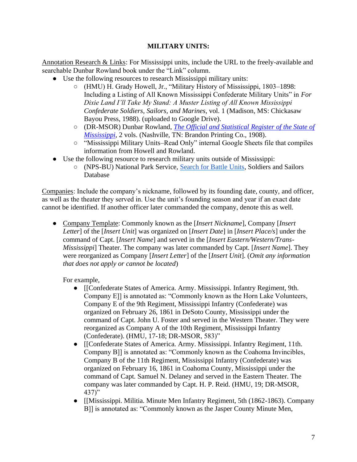### **MILITARY UNITS:**

Annotation Research & Links: For Mississippi units, include the URL to the freely-available and searchable Dunbar Rowland book under the "Link" column.

- Use the following resources to research Mississippi military units:
	- (HMU) H. Grady Howell, Jr., "Military History of Mississippi, 1803–1898: Including a Listing of All Known Mississippi Confederate Military Units" in *For Dixie Land I'll Take My Stand: A Muster Listing of All Known Mississippi Confederate Soldiers, Sailors, and Marines*, vol. 1 (Madison, MS: Chickasaw Bayou Press, 1988). (uploaded to Google Drive).
	- (DR-MSOR) Dunbar Rowland, *[The Official and Statistical](https://books.google.com/books?id=wMoGAQAAIAAJ&printsec=frontcover#v=onepage&q&f=false) Register of the State of [Mississippi](https://books.google.com/books?id=wMoGAQAAIAAJ&printsec=frontcover#v=onepage&q&f=false)*, 2 vols. (Nashville, TN: Brandon Printing Co., 1908).
	- "Mississippi Military Units–Read Only" internal Google Sheets file that compiles information from Howell and Rowland.
- Use the following resource to research military units outside of Mississippi:
	- (NPS-BU) National Park Service, [Search for Battle Units,](https://www.nps.gov/civilwar/search-battle-units.htm) Soldiers and Sailors Database

Companies: Include the company's nickname, followed by its founding date, county, and officer, as well as the theater they served in. Use the unit's founding season and year if an exact date cannot be identified. If another officer later commanded the company, denote this as well.

● Company Template: Commonly known as the [*Insert Nickname*], Company [*Insert Letter*] of the [*Insert Unit*] was organized on [*Insert Date*] in [*Insert Place/s*] under the command of Capt. [*Insert Name*] and served in the [*Insert Eastern/Western/Trans-Mississippi*] Theater. The company was later commanded by Capt. [*Insert Name*]. They were reorganized as Company [*Insert Letter*] of the [*Insert Unit*]. (*Omit any information that does not apply or cannot be located*)

- [[Confederate States of America. Army. Mississippi. Infantry Regiment, 9th. Company E]] is annotated as: "Commonly known as the Horn Lake Volunteers, Company E of the 9th Regiment, Mississippi Infantry (Confederate) was organized on February 26, 1861 in DeSoto County, Mississippi under the command of Capt. John U. Foster and served in the Western Theater. They were reorganized as Company A of the 10th Regiment, Mississippi Infantry (Confederate). (HMU, 17-18; DR-MSOR, 583)"
- [[Confederate States of America. Army. Mississippi. Infantry Regiment, 11th. Company B]] is annotated as: "Commonly known as the Coahoma Invincibles, Company B of the 11th Regiment, Mississippi Infantry (Confederate) was organized on February 16, 1861 in Coahoma County, Mississippi under the command of Capt. Samuel N. Delaney and served in the Eastern Theater. The company was later commanded by Capt. H. P. Reid. (HMU, 19; DR-MSOR,  $437$ "
- [[Mississippi. Militia. Minute Men Infantry Regiment, 5th (1862-1863). Company B]] is annotated as: "Commonly known as the Jasper County Minute Men,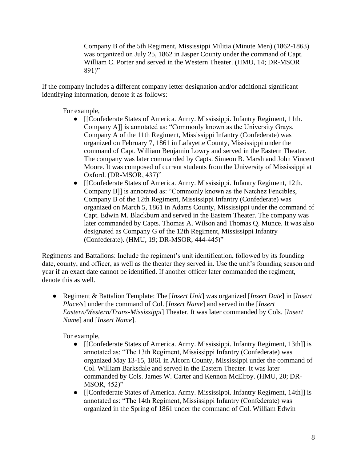Company B of the 5th Regiment, Mississippi Militia (Minute Men) (1862-1863) was organized on July 25, 1862 in Jasper County under the command of Capt. William C. Porter and served in the Western Theater. (HMU, 14; DR-MSOR 891)"

If the company includes a different company letter designation and/or additional significant identifying information, denote it as follows:

For example,

- [[Confederate States of America. Army. Mississippi. Infantry Regiment, 11th. Company A]] is annotated as: "Commonly known as the University Grays, Company A of the 11th Regiment, Mississippi Infantry (Confederate) was organized on February 7, 1861 in Lafayette County, Mississippi under the command of Capt. William Benjamin Lowry and served in the Eastern Theater. The company was later commanded by Capts. Simeon B. Marsh and John Vincent Moore. It was composed of current students from the University of Mississippi at Oxford. (DR-MSOR, 437)"
- [[Confederate States of America. Army. Mississippi. Infantry Regiment, 12th. Company B]] is annotated as: "Commonly known as the Natchez Fencibles, Company B of the 12th Regiment, Mississippi Infantry (Confederate) was organized on March 5, 1861 in Adams County, Mississippi under the command of Capt. Edwin M. Blackburn and served in the Eastern Theater. The company was later commanded by Capts. Thomas A. Wilson and Thomas Q. Munce. It was also designated as Company G of the 12th Regiment, Mississippi Infantry (Confederate). (HMU, 19; DR-MSOR, 444-445)"

Regiments and Battalions: Include the regiment's unit identification, followed by its founding date, county, and officer, as well as the theater they served in. Use the unit's founding season and year if an exact date cannot be identified. If another officer later commanded the regiment, denote this as well.

● Regiment & Battalion Template: The [*Insert Unit*] was organized [*Insert Date*] in [*Insert Place/s*] under the command of Col. [*Insert Name*] and served in the [*Insert Eastern/Western/Trans-Mississippi*] Theater. It was later commanded by Cols. [*Insert Name*] and [*Insert Name*].

- [[Confederate States of America. Army. Mississippi. Infantry Regiment, 13th]] is annotated as: "The 13th Regiment, Mississippi Infantry (Confederate) was organized May 13-15, 1861 in Alcorn County, Mississippi under the command of Col. William Barksdale and served in the Eastern Theater. It was later commanded by Cols. James W. Carter and Kennon McElroy. (HMU, 20; DR-MSOR, 452)"
- [[Confederate States of America. Army. Mississippi. Infantry Regiment, 14th]] is annotated as: "The 14th Regiment, Mississippi Infantry (Confederate) was organized in the Spring of 1861 under the command of Col. William Edwin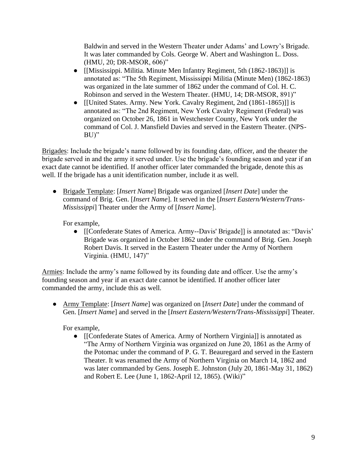Baldwin and served in the Western Theater under Adams' and Lowry's Brigade. It was later commanded by Cols. George W. Abert and Washington L. Doss. (HMU, 20; DR-MSOR, 606)"

- [[Mississippi. Militia. Minute Men Infantry Regiment, 5th (1862-1863)]] is annotated as: "The 5th Regiment, Mississippi Militia (Minute Men) (1862-1863) was organized in the late summer of 1862 under the command of Col. H. C. Robinson and served in the Western Theater. (HMU, 14; DR-MSOR, 891)"
- [[United States. Army. New York. Cavalry Regiment, 2nd (1861-1865)]] is annotated as: "The 2nd Regiment, New York Cavalry Regiment (Federal) was organized on October 26, 1861 in Westchester County, New York under the command of Col. J. Mansfield Davies and served in the Eastern Theater. (NPS-BU)"

Brigades: Include the brigade's name followed by its founding date, officer, and the theater the brigade served in and the army it served under. Use the brigade's founding season and year if an exact date cannot be identified. If another officer later commanded the brigade, denote this as well. If the brigade has a unit identification number, include it as well.

● Brigade Template: [*Insert Name*] Brigade was organized [*Insert Date*] under the command of Brig. Gen. [*Insert Name*]. It served in the [*Insert Eastern/Western/Trans-Mississippi*] Theater under the Army of [*Insert Name*].

For example,

• [[Confederate States of America. Army--Davis' Brigade]] is annotated as: "Davis' Brigade was organized in October 1862 under the command of Brig. Gen. Joseph Robert Davis. It served in the Eastern Theater under the Army of Northern Virginia. (HMU, 147)"

Armies: Include the army's name followed by its founding date and officer. Use the army's founding season and year if an exact date cannot be identified. If another officer later commanded the army, include this as well.

● Army Template: [*Insert Name*] was organized on [*Insert Date*] under the command of Gen. [*Insert Name*] and served in the [*Insert Eastern/Western/Trans-Mississippi*] Theater.

For example,

● [[Confederate States of America. Army of Northern Virginia]] is annotated as "The Army of Northern Virginia was organized on June 20, 1861 as the Army of the Potomac under the command of P. G. T. Beauregard and served in the Eastern Theater. It was renamed the Army of Northern Virginia on March 14, 1862 and was later commanded by Gens. Joseph E. Johnston (July 20, 1861-May 31, 1862) and Robert E. Lee (June 1, 1862-April 12, 1865). (Wiki)"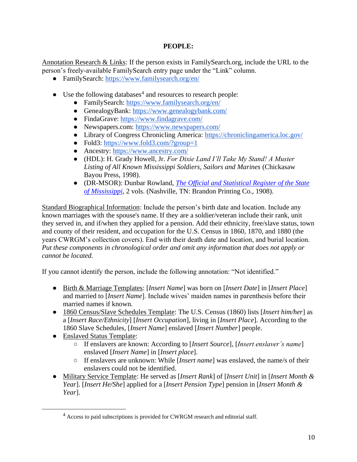# **PEOPLE:**

Annotation Research & Links: If the person exists in FamilySearch.org, include the URL to the person's freely-available FamilySearch entry page under the "Link" column.

- FamilySearch:<https://www.familysearch.org/en/>
- Use the following databases<sup>4</sup> and resources to research people:
	- FamilySearch:<https://www.familysearch.org/en/>
	- GenealogyBank:<https://www.genealogybank.com/>
	- FindaGrave:<https://www.findagrave.com/>
	- Newspapers.com:<https://www.newspapers.com/>
	- Library of Congress Chronicling America:<https://chroniclingamerica.loc.gov/>
	- Fold3:<https://www.fold3.com/?group=1>
	- Ancestry:<https://www.ancestry.com/>
	- (HDL): H. Grady Howell, Jr. *For Dixie Land I'll Take My Stand! A Muster Listing of All Known Mississippi Soldiers, Sailors and Marines* (Chickasaw Bayou Press, 1998).
	- (DR-MSOR): Dunbar Rowland, *[The Official and Statistical Register of the State](https://books.google.com/books?id=wMoGAQAAIAAJ&printsec=frontcover#v=onepage&q&f=false)  [of Mississippi](https://books.google.com/books?id=wMoGAQAAIAAJ&printsec=frontcover#v=onepage&q&f=false)*, 2 vols. (Nashville, TN: Brandon Printing Co., 1908).

Standard Biographical Information: Include the person's birth date and location. Include any known marriages with the spouse's name. If they are a soldier/veteran include their rank, unit they served in, and if/when they applied for a pension. Add their ethnicity, free/slave status, town and county of their resident, and occupation for the U.S. Census in 1860, 1870, and 1880 (the years CWRGM's collection covers). End with their death date and location, and burial location. *Put these components in chronological order and omit any information that does not apply or cannot be located.*

If you cannot identify the person, include the following annotation: "Not identified."

- Birth & Marriage Templates: [*Insert Name*] was born on [*Insert Date*] in [*Insert Place*] and married to [*Insert Name*]. Include wives' maiden names in parenthesis before their married names if known.
- 1860 Census/Slave Schedules Template: The U.S. Census (1860) lists [*Insert him/her*] as a [*Insert Race/Ethnicity*] [*Insert Occupation*], living in [*Insert Place*]. According to the 1860 Slave Schedules, [*Insert Name*] enslaved [*Insert Number*] people.
- Enslaved Status Template:
	- If enslavers are known: According to [*Insert Source*], [*Insert enslaver's name*] enslaved [*Insert Name*] in [*Insert place*].
	- If enslavers are unknown: While [*Insert name*] was enslaved, the name/s of their enslavers could not be identified.
- Military Service Template: He served as [*Insert Rank*] of [*Insert Unit*] in [*Insert Month & Year*]. [*Insert He/She*] applied for a [*Insert Pension Type*] pension in [*Insert Month & Year*].

<sup>4</sup> Access to paid subscriptions is provided for CWRGM research and editorial staff.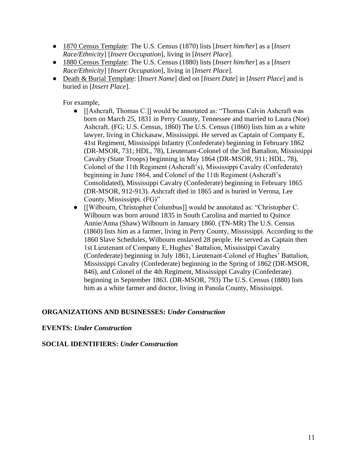- 1870 Census Template: The U.S. Census (1870) lists [*Insert him/her*] as a [*Insert Race/Ethnicity*] [*Insert Occupation*], living in [*Insert Place*].
- 1880 Census Template: The U.S. Census (1880) lists [*Insert him/her*] as a [*Insert Race/Ethnicity*] [*Insert Occupation*], living in [*Insert Place*].
- Death & Burial Template: [*Insert Name*] died on [*Insert Date*] in [*Insert Place*] and is buried in [*Insert Place*].

For example,

- [[Ashcraft, Thomas C.]] would be annotated as: "Thomas Calvin Ashcraft was born on March 25, 1831 in Perry County, Tennessee and married to Laura (Noe) Ashcraft. (FG; U.S. Census, 1860) The U.S. Census (1860) lists him as a white lawyer, living in Chickasaw, Mississippi. He served as Captain of Company E, 41st Regiment, Mississippi Infantry (Confederate) beginning in February 1862 (DR-MSOR, 731; HDL, 78), Lieutenant-Colonel of the 3rd Battalion, Mississippi Cavalry (State Troops) beginning in May 1864 (DR-MSOR, 911; HDL, 78), Colonel of the 11th Regiment (Ashcraft's), Mississippi Cavalry (Confederate) beginning in June 1864, and Colonel of the 11th Regiment (Ashcraft's Consolidated), Mississippi Cavalry (Confederate) beginning in February 1865 (DR-MSOR, 912-913). Ashcraft died in 1865 and is buried in Verona, Lee County, Mississippi. (FG)"
- [[Wilbourn, Christopher Columbus]] would be annotated as: "Christopher C. Wilbourn was born around 1835 in South Carolina and married to Quince Annie/Anna (Shaw) Wilbourn in January 1860. (TN-MR) The U.S. Census (1860) lists him as a farmer, living in Perry County, Mississippi. According to the 1860 Slave Schedules, Wilbourn enslaved 28 people. He served as Captain then 1st Lieutenant of Company E, Hughes' Battalion, Mississippi Cavalry (Confederate) beginning in July 1861, Lieutenant-Colonel of Hughes' Battalion, Mississippi Cavalry (Confederate) beginning in the Spring of 1862 (DR-MSOR, 846), and Colonel of the 4th Regiment, Mississippi Cavalry (Confederate) beginning in September 1863. (DR-MSOR, 793) The U.S. Census (1880) lists him as a white farmer and doctor, living in Panola County, Mississippi.

### **ORGANIZATIONS AND BUSINESSES:** *Under Construction*

### **EVENTS:** *Under Construction*

#### **SOCIAL IDENTIFIERS:** *Under Construction*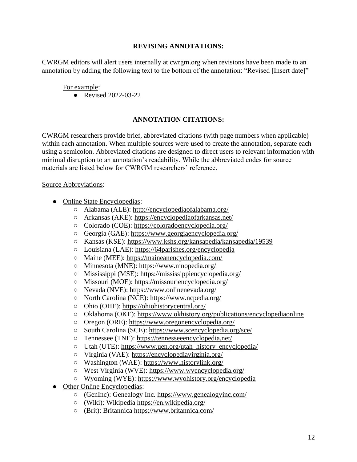#### **REVISING ANNOTATIONS:**

CWRGM editors will alert users internally at cwrgm.org when revisions have been made to an annotation by adding the following text to the bottom of the annotation: "Revised [Insert date]"

#### For example:

● Revised 2022-03-22

#### **ANNOTATION CITATIONS:**

CWRGM researchers provide brief, abbreviated citations (with page numbers when applicable) within each annotation. When multiple sources were used to create the annotation, separate each using a semicolon. Abbreviated citations are designed to direct users to relevant information with minimal disruption to an annotation's readability. While the abbreviated codes for source materials are listed below for CWRGM researchers' reference.

#### Source Abbreviations:

- Online State Encyclopedias:
	- Alabama (ALE):<http://encyclopediaofalabama.org/>
	- Arkansas (AKE):<https://encyclopediaofarkansas.net/>
	- Colorado (COE):<https://coloradoencyclopedia.org/>
	- Georgia (GAE):<https://www.georgiaencyclopedia.org/>
	- Kansas (KSE):<https://www.kshs.org/kansapedia/kansapedia/19539>
	- Louisiana (LAE):<https://64parishes.org/encyclopedia>
	- Maine (MEE):<https://maineanencyclopedia.com/>
	- Minnesota (MNE):<https://www.mnopedia.org/>
	- Mississippi (MSE):<https://mississippiencyclopedia.org/>
	- Missouri (MOE):<https://missouriencyclopedia.org/>
	- Nevada (NVE):<https://www.onlinenevada.org/>
	- North Carolina (NCE):<https://www.ncpedia.org/>
	- Ohio (OHE): [https://ohiohistorycentral.org/](https://ohiohistorycentral.org/w/Welcome_To_Ohio_History_Central)
	- Oklahoma (OKE):<https://www.okhistory.org/publications/encyclopediaonline>
	- Oregon (ORE):<https://www.oregonencyclopedia.org/>
	- South Carolina (SCE):<https://www.scencyclopedia.org/sce/>
	- Tennessee (TNE):<https://tennesseeencyclopedia.net/>
	- Utah (UTE): [https://www.uen.org/utah\\_history\\_encyclopedia/](https://www.uen.org/utah_history_encyclopedia/)
	- Virginia (VAE):<https://encyclopediavirginia.org/>
	- Washington (WAE):<https://www.historylink.org/>
	- West Virginia (WVE):<https://www.wvencyclopedia.org/>
	- Wyoming (WYE):<https://www.wyohistory.org/encyclopedia>
- Other Online Encyclopedias:
	- (GenInc): Genealogy Inc.<https://www.genealogyinc.com/>
	- (Wiki): Wikipedia<https://en.wikipedia.org/>
	- (Brit): Britannica<https://www.britannica.com/>